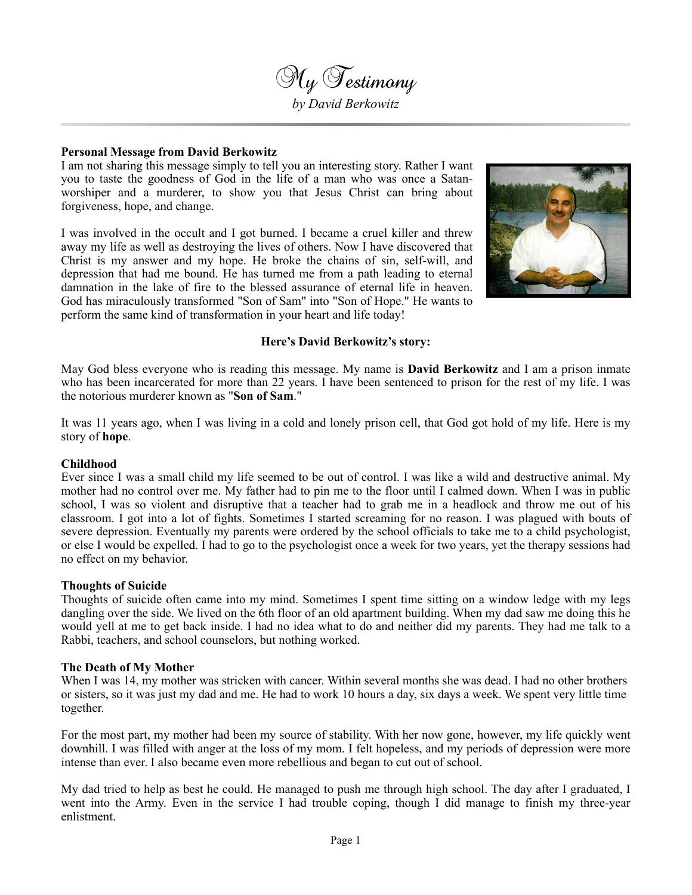

#### **Personal Message from David Berkowitz**

I am not sharing this message simply to tell you an interesting story. Rather I want you to taste the goodness of God in the life of a man who was once a Satanworshiper and a murderer, to show you that Jesus Christ can bring about forgiveness, hope, and change.

I was involved in the occult and I got burned. I became a cruel killer and threw away my life as well as destroying the lives of others. Now I have discovered that Christ is my answer and my hope. He broke the chains of sin, self-will, and depression that had me bound. He has turned me from a path leading to eternal damnation in the lake of fire to the blessed assurance of eternal life in heaven. God has miraculously transformed "Son of Sam" into "Son of Hope." He wants to perform the same kind of transformation in your heart and life today!



#### **Here's David Berkowitz's story:**

May God bless everyone who is reading this message. My name is **David Berkowitz** and I am a prison inmate who has been incarcerated for more than 22 years. I have been sentenced to prison for the rest of my life. I was the notorious murderer known as "**Son of Sam**."

It was 11 years ago, when I was living in a cold and lonely prison cell, that God got hold of my life. Here is my story of **hope**.

#### **Childhood**

Ever since I was a small child my life seemed to be out of control. I was like a wild and destructive animal. My mother had no control over me. My father had to pin me to the floor until I calmed down. When I was in public school, I was so violent and disruptive that a teacher had to grab me in a headlock and throw me out of his classroom. I got into a lot of fights. Sometimes I started screaming for no reason. I was plagued with bouts of severe depression. Eventually my parents were ordered by the school officials to take me to a child psychologist, or else I would be expelled. I had to go to the psychologist once a week for two years, yet the therapy sessions had no effect on my behavior.

#### **Thoughts of Suicide**

Thoughts of suicide often came into my mind. Sometimes I spent time sitting on a window ledge with my legs dangling over the side. We lived on the 6th floor of an old apartment building. When my dad saw me doing this he would yell at me to get back inside. I had no idea what to do and neither did my parents. They had me talk to a Rabbi, teachers, and school counselors, but nothing worked.

#### **The Death of My Mother**

When I was 14, my mother was stricken with cancer. Within several months she was dead. I had no other brothers or sisters, so it was just my dad and me. He had to work 10 hours a day, six days a week. We spent very little time together.

For the most part, my mother had been my source of stability. With her now gone, however, my life quickly went downhill. I was filled with anger at the loss of my mom. I felt hopeless, and my periods of depression were more intense than ever. I also became even more rebellious and began to cut out of school.

My dad tried to help as best he could. He managed to push me through high school. The day after I graduated, I went into the Army. Even in the service I had trouble coping, though I did manage to finish my three-year enlistment.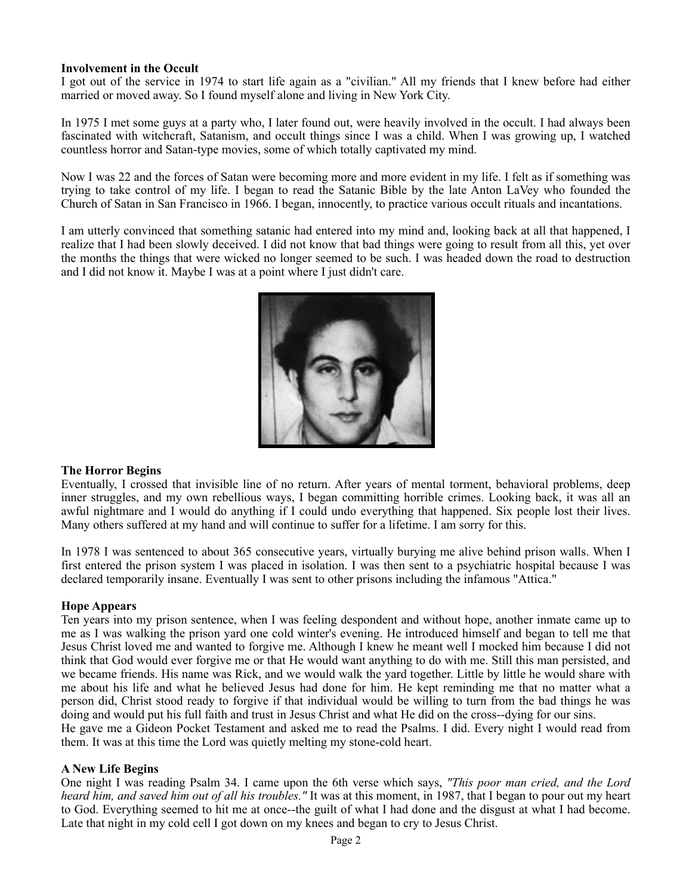# **Involvement in the Occult**

I got out of the service in 1974 to start life again as a "civilian." All my friends that I knew before had either married or moved away. So I found myself alone and living in New York City.

In 1975 I met some guys at a party who, I later found out, were heavily involved in the occult. I had always been fascinated with witchcraft, Satanism, and occult things since I was a child. When I was growing up, I watched countless horror and Satan-type movies, some of which totally captivated my mind.

Now I was 22 and the forces of Satan were becoming more and more evident in my life. I felt as if something was trying to take control of my life. I began to read the Satanic Bible by the late Anton LaVey who founded the Church of Satan in San Francisco in 1966. I began, innocently, to practice various occult rituals and incantations.

I am utterly convinced that something satanic had entered into my mind and, looking back at all that happened, I realize that I had been slowly deceived. I did not know that bad things were going to result from all this, yet over the months the things that were wicked no longer seemed to be such. I was headed down the road to destruction and I did not know it. Maybe I was at a point where I just didn't care.



# **The Horror Begins**

Eventually, I crossed that invisible line of no return. After years of mental torment, behavioral problems, deep inner struggles, and my own rebellious ways, I began committing horrible crimes. Looking back, it was all an awful nightmare and I would do anything if I could undo everything that happened. Six people lost their lives. Many others suffered at my hand and will continue to suffer for a lifetime. I am sorry for this.

In 1978 I was sentenced to about 365 consecutive years, virtually burying me alive behind prison walls. When I first entered the prison system I was placed in isolation. I was then sent to a psychiatric hospital because I was declared temporarily insane. Eventually I was sent to other prisons including the infamous "Attica."

# **Hope Appears**

Ten years into my prison sentence, when I was feeling despondent and without hope, another inmate came up to me as I was walking the prison yard one cold winter's evening. He introduced himself and began to tell me that Jesus Christ loved me and wanted to forgive me. Although I knew he meant well I mocked him because I did not think that God would ever forgive me or that He would want anything to do with me. Still this man persisted, and we became friends. His name was Rick, and we would walk the yard together. Little by little he would share with me about his life and what he believed Jesus had done for him. He kept reminding me that no matter what a person did, Christ stood ready to forgive if that individual would be willing to turn from the bad things he was doing and would put his full faith and trust in Jesus Christ and what He did on the cross--dying for our sins. He gave me a Gideon Pocket Testament and asked me to read the Psalms. I did. Every night I would read from them. It was at this time the Lord was quietly melting my stone-cold heart.

# **A New Life Begins**

One night I was reading Psalm 34. I came upon the 6th verse which says, *"This poor man cried, and the Lord heard him, and saved him out of all his troubles."* It was at this moment, in 1987, that I began to pour out my heart to God. Everything seemed to hit me at once--the guilt of what I had done and the disgust at what I had become. Late that night in my cold cell I got down on my knees and began to cry to Jesus Christ.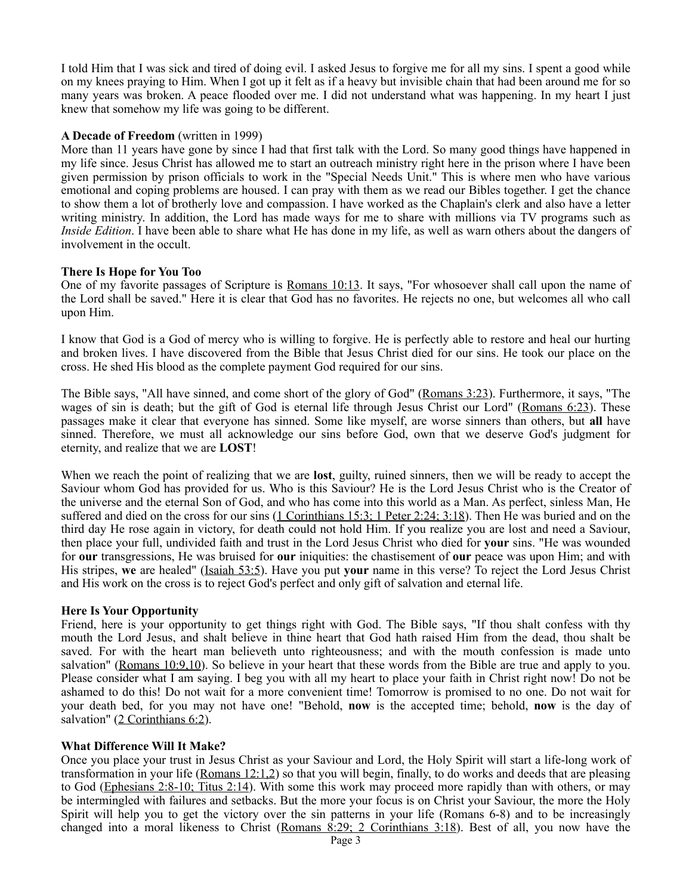I told Him that I was sick and tired of doing evil. I asked Jesus to forgive me for all my sins. I spent a good while on my knees praying to Him. When I got up it felt as if a heavy but invisible chain that had been around me for so many years was broken. A peace flooded over me. I did not understand what was happening. In my heart I just knew that somehow my life was going to be different.

#### **A Decade of Freedom** (written in 1999)

More than 11 years have gone by since I had that first talk with the Lord. So many good things have happened in my life since. Jesus Christ has allowed me to start an outreach ministry right here in the prison where I have been given permission by prison officials to work in the "Special Needs Unit." This is where men who have various emotional and coping problems are housed. I can pray with them as we read our Bibles together. I get the chance to show them a lot of brotherly love and compassion. I have worked as the Chaplain's clerk and also have a letter writing ministry. In addition, the Lord has made ways for me to share with millions via TV programs such as *Inside Edition*. I have been able to share what He has done in my life, as well as warn others about the dangers of involvement in the occult.

# **There Is Hope for You Too**

One of my favorite passages of Scripture is Romans 10:13. It says, "For whosoever shall call upon the name of the Lord shall be saved." Here it is clear that God has no favorites. He rejects no one, but welcomes all who call upon Him.

I know that God is a God of mercy who is willing to forgive. He is perfectly able to restore and heal our hurting and broken lives. I have discovered from the Bible that Jesus Christ died for our sins. He took our place on the cross. He shed His blood as the complete payment God required for our sins.

The Bible says, "All have sinned, and come short of the glory of God" (Romans 3:23). Furthermore, it says, "The wages of sin is death; but the gift of God is eternal life through Jesus Christ our Lord" (Romans 6:23). These passages make it clear that everyone has sinned. Some like myself, are worse sinners than others, but **all** have sinned. Therefore, we must all acknowledge our sins before God, own that we deserve God's judgment for eternity, and realize that we are **LOST**!

When we reach the point of realizing that we are **lost**, guilty, ruined sinners, then we will be ready to accept the Saviour whom God has provided for us. Who is this Saviour? He is the Lord Jesus Christ who is the Creator of the universe and the eternal Son of God, and who has come into this world as a Man. As perfect, sinless Man, He suffered and died on the cross for our sins (1 Corinthians 15:3; 1 Peter 2:24; 3:18). Then He was buried and on the third day He rose again in victory, for death could not hold Him. If you realize you are lost and need a Saviour, then place your full, undivided faith and trust in the Lord Jesus Christ who died for **your** sins. "He was wounded for **our** transgressions, He was bruised for **our** iniquities: the chastisement of **our** peace was upon Him; and with His stripes, **we** are healed" (Isaiah 53:5). Have you put **your** name in this verse? To reject the Lord Jesus Christ and His work on the cross is to reject God's perfect and only gift of salvation and eternal life.

# **Here Is Your Opportunity**

Friend, here is your opportunity to get things right with God. The Bible says, "If thou shalt confess with thy mouth the Lord Jesus, and shalt believe in thine heart that God hath raised Him from the dead, thou shalt be saved. For with the heart man believeth unto righteousness; and with the mouth confession is made unto salvation" (Romans 10:9,10). So believe in your heart that these words from the Bible are true and apply to you. Please consider what I am saying. I beg you with all my heart to place your faith in Christ right now! Do not be ashamed to do this! Do not wait for a more convenient time! Tomorrow is promised to no one. Do not wait for your death bed, for you may not have one! "Behold, **now** is the accepted time; behold, **now** is the day of salvation" (2 Corinthians 6:2).

# **What Difference Will It Make?**

Once you place your trust in Jesus Christ as your Saviour and Lord, the Holy Spirit will start a life-long work of transformation in your life (Romans 12:1,2) so that you will begin, finally, to do works and deeds that are pleasing to God (Ephesians 2:8-10; Titus 2:14). With some this work may proceed more rapidly than with others, or may be intermingled with failures and setbacks. But the more your focus is on Christ your Saviour, the more the Holy Spirit will help you to get the victory over the sin patterns in your life (Romans 6-8) and to be increasingly changed into a moral likeness to Christ (Romans 8:29; 2 Corinthians 3:18). Best of all, you now have the